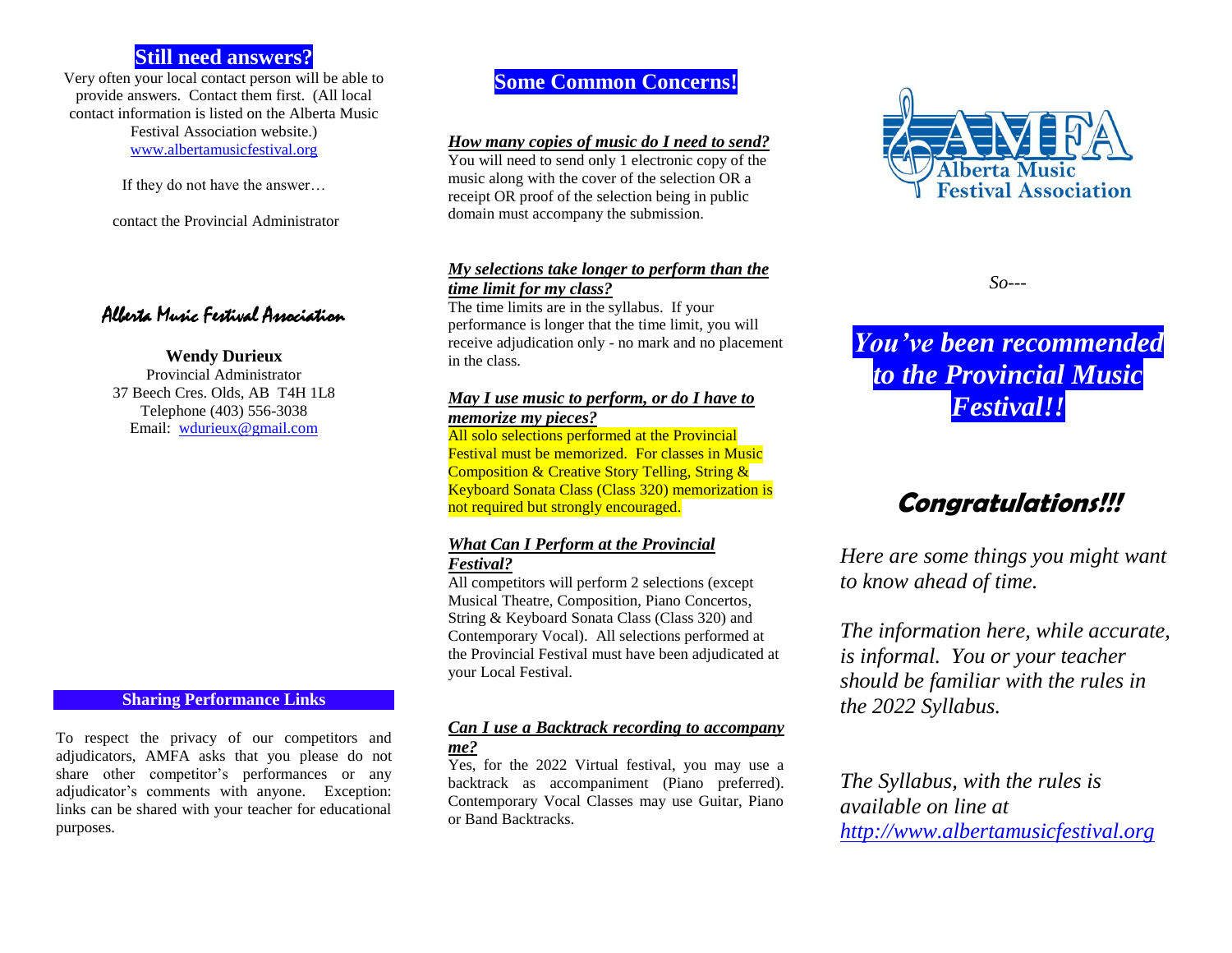# **Still need answers?**

Very often your local contact person will be able to provide answers. Contact them first. (All local contact information is listed on the Alberta Music Festival Association website.) [www.albertamusicfestival.org](http://www.albertamusicfestival.org/)

If they do not have the answer…

contact the Provincial Administrator

Alberta Music Festival Association

#### **Wendy Durieux**

Provincial Administrator 37 Beech Cres. Olds, AB T4H 1L8 Telephone (403) 556-3038 Email: [wdurieux@gmail.com](mailto:wdurieux@gmail.com)

#### **Sharing Performance Links**

To respect the privacy of our competitors and adjudicators, AMFA asks that you please do not share other competitor's performances or any adjudicator's comments with anyone. Exception: links can be shared with your teacher for educational purposes.

# **Some Common Concerns!**

#### *How many copies of music do I need to send?*

You will need to send only 1 electronic copy of the music along with the cover of the selection OR a receipt OR proof of the selection being in public domain must accompany the submission.

#### *My selections take longer to perform than the time limit for my class?*

The time limits are in the syllabus. If your performance is longer that the time limit, you will receive adjudication only - no mark and no placement in the class.

#### *May I use music to perform, or do I have to memorize my pieces?*

All solo selections performed at the Provincial Festival must be memorized. For classes in Music Composition & Creative Story Telling, String & Keyboard Sonata Class (Class 320) memorization is not required but strongly encouraged.

### *What Can I Perform at the Provincial Festival?*

All competitors will perform 2 selections (except Musical Theatre, Composition, Piano Concertos, String & Keyboard Sonata Class (Class 320) and Contemporary Vocal). All selections performed at the Provincial Festival must have been adjudicated at your Local Festival.

### *Can I use a Backtrack recording to accompany me?*

Yes, for the 2022 Virtual festival, you may use a backtrack as accompaniment (Piano preferred). Contemporary Vocal Classes may use Guitar, Piano or Band Backtracks.



*So---*

*You've been recommended to the Provincial Music Festival!!*

# **Congratulations!!!**

*Here are some things you might want to know ahead of time.* 

*The information here, while accurate, is informal. You or your teacher should be familiar with the rules in the 2022 Syllabus.* 

*The Syllabus, with the rules is available on line at [http://www.albertamusicfestival.org](http://www.albertamusicfestival.org/)*